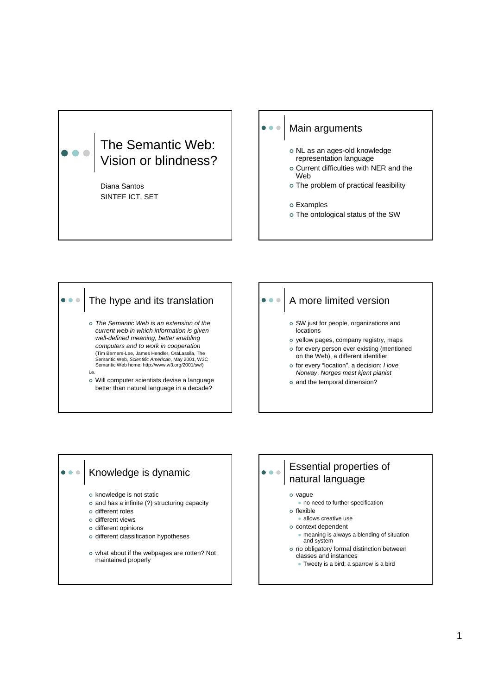



## A more limited version

- <sup>|</sup> SW just for people, organizations and locations
- o yellow pages, company registry, maps
- o for every person ever existing (mentioned on the Web), a different identifier
- <sup>|</sup> for every "location", a decision: *I love Norway*, *Norges mest kjent pianist*
- o and the temporal dimension?

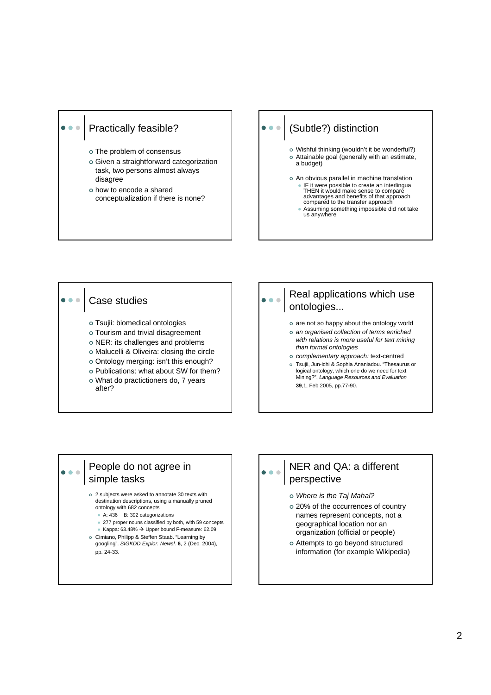#### Practically feasible?

- o The problem of consensus
- | Given a straightforward categorization task, two persons almost always disagree
- | how to encode a shared conceptualization if there is none?

## (Subtle?) distinction

- o Wishful thinking (wouldn't it be wonderful?) o Attainable goal (generally with an estimate, a budget)
- o An obvious parallel in machine translation • IF it were possible to create an interlingua THEN it would make sense to compare advantages and benefits of that approach compared to the transfer approach • Assuming something impossible did not take us anywhere



### People do not agree in simple tasks

. . .

#### <sup>|</sup> 2 subjects were asked to annotate 30 texts with destination descriptions, using a manually pruned ontology with 682 concepts

- A: 436 B: 392 categorizations
- 277 proper nouns classified by both, with 59 concepts
- Kappa:  $63.48\%$   $\rightarrow$  Upper bound F-measure:  $62.09$
- <sup>|</sup> Cimiano, Philipp & Steffen Staab. "Learning by googling". *SIGKDD Explor. Newsl.* **6**, 2 (Dec. 2004), pp. 24-33.

## NER and QA: a different perspective

- | *Where is the Taj Mahal?*
- o 20% of the occurrences of country names represent concepts, not a geographical location nor an organization (official or people)
- o Attempts to go beyond structured information (for example Wikipedia)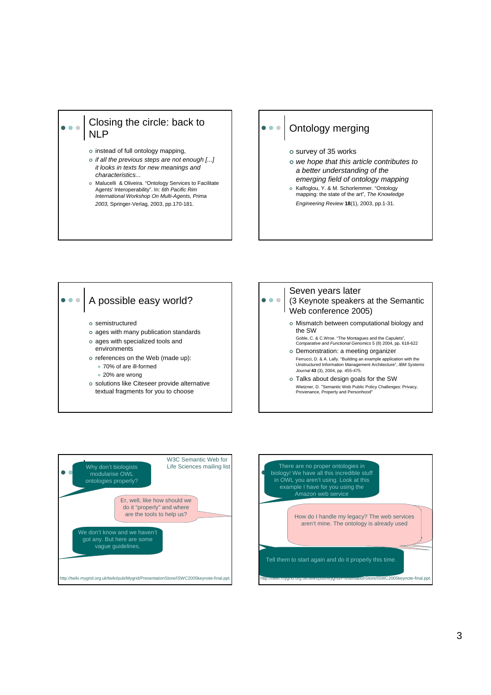### Closing the circle: back to NLP

- o instead of full ontology mapping,
- <sup>|</sup> *if all the previous steps are not enough [...] it looks in texts for new meanings and characteristics...*
- o Malucelli & Oliveira. "Ontology Services to Facilitate Agents' Interoperability". In: *6th Pacific Rim International Workshop On Multi-Agents, Prima 2003,* Springer-Verlag, 2003, pp.170-181.

# Ontology merging

- o survey of 35 works
- | *we hope that this article contributes to a better understanding of the emerging field of ontology mapping*
- o Kalfoglou, Y. & M. Schorlemmer. "Ontology mapping: the state of the art", *The Knowledge Engineering Review* **18**(1), 2003, pp.1-31.